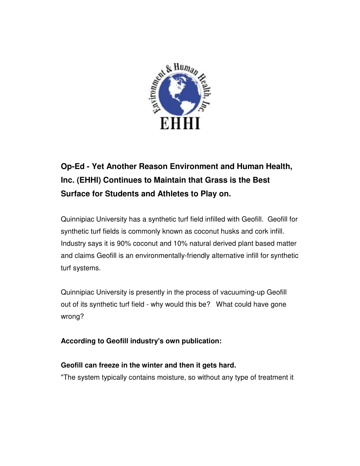

# **Op-Ed - Yet Another Reason Environment and Human Health, Inc. (EHHI) Continues to Maintain that Grass is the Best Surface for Students and Athletes to Play on.**

Quinnipiac University has a synthetic turf field infilled with Geofill. Geofill for synthetic turf fields is commonly known as coconut husks and cork infill. Industry says it is 90% coconut and 10% natural derived plant based matter and claims Geofill is an environmentally-friendly alternative infill for synthetic turf systems.

Quinnipiac University is presently in the process of vacuuming-up Geofill out of its synthetic turf field - why would this be? What could have gone wrong?

**According to Geofill industry's own publication:**

## **Geofill can freeze in the winter and then it gets hard.**

"The system typically contains moisture, so without any type of treatment it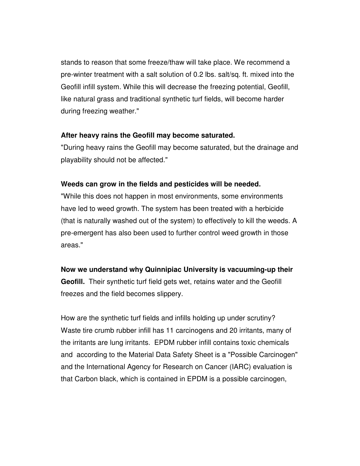stands to reason that some freeze/thaw will take place. We recommend a pre-winter treatment with a salt solution of 0.2 lbs. salt/sq. ft. mixed into the Geofill infill system. While this will decrease the freezing potential, Geofill, like natural grass and traditional synthetic turf fields, will become harder during freezing weather."

### **After heavy rains the Geofill may become saturated.**

"During heavy rains the Geofill may become saturated, but the drainage and playability should not be affected."

### **Weeds can grow in the fields and pesticides will be needed.**

"While this does not happen in most environments, some environments have led to weed growth. The system has been treated with a herbicide (that is naturally washed out of the system) to effectively to kill the weeds. A pre-emergent has also been used to further control weed growth in those areas."

### **Now we understand why Quinnipiac University is vacuuming-up their**

**Geofill.** Their synthetic turf field gets wet, retains water and the Geofill freezes and the field becomes slippery.

How are the synthetic turf fields and infills holding up under scrutiny? Waste tire crumb rubber infill has 11 carcinogens and 20 irritants, many of the irritants are lung irritants. EPDM rubber infill contains toxic chemicals and according to the Material Data Safety Sheet is a "Possible Carcinogen" and the International Agency for Research on Cancer (IARC) evaluation is that Carbon black, which is contained in EPDM is a possible carcinogen,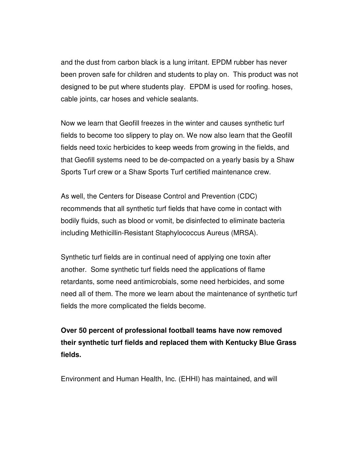and the dust from carbon black is a lung irritant. EPDM rubber has never been proven safe for children and students to play on. This product was not designed to be put where students play. EPDM is used for roofing. hoses, cable joints, car hoses and vehicle sealants.

Now we learn that Geofill freezes in the winter and causes synthetic turf fields to become too slippery to play on. We now also learn that the Geofill fields need toxic herbicides to keep weeds from growing in the fields, and that Geofill systems need to be de-compacted on a yearly basis by a Shaw Sports Turf crew or a Shaw Sports Turf certified maintenance crew.

As well, the Centers for Disease Control and Prevention (CDC) recommends that all synthetic turf fields that have come in contact with bodily fluids, such as blood or vomit, be disinfected to eliminate bacteria including Methicillin-Resistant Staphylococcus Aureus (MRSA).

Synthetic turf fields are in continual need of applying one toxin after another. Some synthetic turf fields need the applications of flame retardants, some need antimicrobials, some need herbicides, and some need all of them. The more we learn about the maintenance of synthetic turf fields the more complicated the fields become.

**Over 50 percent of professional football teams have now removed their synthetic turf fields and replaced them with Kentucky Blue Grass fields.**

Environment and Human Health, Inc. (EHHI) has maintained, and will